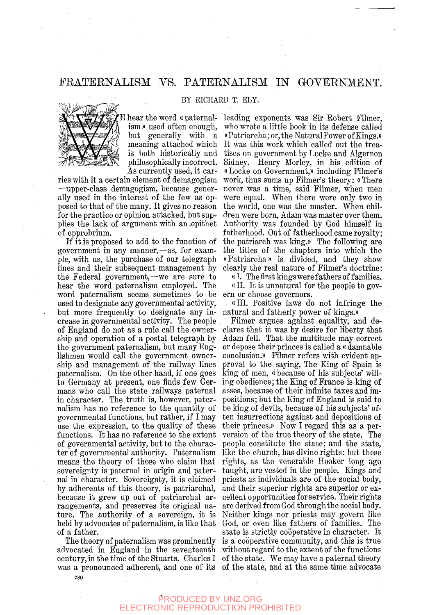## FEATERNALISM VS. PATERNALISM IN GOVERNMENT.

BY RICHARD T. ELY.

philosophically incorrect. As currently used, it car-

ries with it a certain element of demagogism —upper-class demagogism, because generally used in the interest of the few as opposed to that of the many. It gives no reason for the practice or opinion attacked, but supplies the lack of argument with an .epithet of opprobrium.

If it is proposed to add to the function of government in any manner,—as, for example, with us, the purchase of our telegraph lines and their subsequent management by the Federal government,—we are sure to hear the word paternalism employed. The word paternalism seems sometimes to be used to designate any governmental activity, but more frequently to designate any increase in governmental activity. The people of England do not as a rule call the ownership and operation of a postal telegraph by the government paternalism, but many Englishmen would call the government ownership and management of the railway lines paternalism. On the other hand, if one goes to Germany at present, one finds few Germans who call the state railways paternal in character. The truth is, however, paternalism has no reference to the quantity of governmental functions, but rather, if I may use the expression, to the quality of these functions. It has no reference to the extent of governmental activity, but to the character of governmental authority. Paternalism means the theory of those who claim that sovereignty is paternal in origin and paternal in character. Sovereignty, it is claimed by adherents of this theory, is patriarchal, by aunerents of this theory, is patriarchal, pecause it grew up out of patriarchal arrangements, and preserves its original nature. The authority of a sovereign, it is held by advocates of paternalism, is like that<br>of a father.

E hear the word « paternal-leading exponents was Sir Eobert Filmer, ism » used often enough, who wrote a little book in its defense called but generally with a «Patriarcha; or, the Natural Power of Kings.» meaning attached which It was this work which called out the treais both historically and tises on government by Locke and Algernon Sidney. Henry Morley, in his edition of « Locke on Government,)) including Filmer's work, thus sums up Filmer's theory: «There never was a time, said Filmer, when men were equal. When there were only two in the world, one was the master. When children were born, Adam was master over them. Authority was founded by God himself in fatherhood. Out of fatherhood came royalty; the patriarch was king.)) The following are the titles of the chapters into which the ((Patriarcha)) is divided, and they show clearly the real nature of Filmer's doctrine:

((I. The first kings were fathers of families. «II. It is unnatural for the people to govern or choose governors.

«III. Positive laws do not infringe the natural and fatherly power of kings.))

a radict. Sure is surely cooperative in character. To<br>The theory of paternalism was prominently is a cooperative community, and this is true advocated in England in the seventeenth without regard to the extent of the functions divocated in England in the seventeement without regard to the extent of the runctions<br>century, in the time of the Stuarts. Charles I of the state. We may have a paternal theory was a pronounced adherent, and one of its of the state, and at the same time advocate Filmer argues against equality, and declares that it was by desire for liberty that Adam fell. That the multitude may correct or depose their princes is called a «damnable conclusion.)) Filmer refers with evident approval to the saying, The King of Spain is king of men, «because of his subjects' willing obedience; the King of France is king of asses, because of their infinite taxes and impositions; but the King of England is said to be king of devils, because of his subjects' often insurrections against and depositions of their princes.)) Now I regard this as a perversion of the true theory of the state. The people constitute the state; and the state, like the church, has divine rights: but these rights, as the venerable Hooker long ago taught, are vested in the people. Kings and priests as individuals are of the social body, and their superior rights are superior or excellent opportunities for service. Their rights are derived from God through the social body. Neither kings nor priests may govern like God, or even like fathers of families. The state is strictly cooperative in character. It

#### PRODUCED BY UNZ.ORG ELECTRONIC REPRODUCTION PROHIBITED

780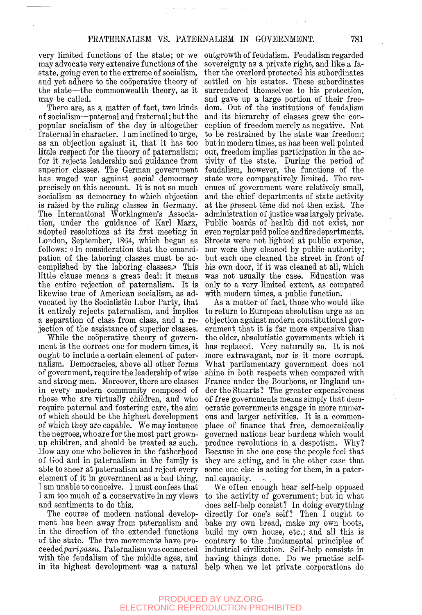very limited functions of the state; or we may advocate very extensive functions of the state, going even to the extreme of socialism, and yet adhere to the cooperative theory of the state—the commonwealth theory, as it may be called.

There are, as a matter of fact, two kinds of socialism—paternal and fraternal; but the popular socialism of the day is altogether fraternal in character. I am inclined to urge, as an objection against it, that it has too little respect for the theory of paternalism; for it rejects leadership and guidance from superior classes. The German government has waged war against social democracy precisely on this account. It is not so much socialism as democracy to which objection is raised by the ruling classes in Germany. The International Workingmen's Association, under the guidance of Karl Marx, adopted resolutions at its first meeting in London, September, 1864, which began as follows: «In consideration that the emancipation of the laboring classes must be accomplished by the laboring classes.)) This little clause means a great deal: it means the entire rejection of paternalism. It is likewise true of American socialism, as advocated by the Socialistic Labor Party, that it entirely rejects paternalism, and implies a separation of class from class, and a rejection of the assistance of superior classes.

While the cooperative theory of government is the correct one for modern times, it ought to include a certain element of paternalism. Democracies, above all other forms of government, require the leadership of wise and strong men. Moreover, there are classes in every modern community composed of those who are virtually children, and who require paternal and fostering care, the aim of which should be the highest development of which they are capable. We may instance the negroes, who are for the most part grownup children, and should be treated as such. How any one who believes in the fatherhood of God and in paternalism in the family is able to sneer at paternalism and reject every element of it in government as a bad thing, I am unable to conceive. I must confess that I am too much of a conservative in my views and sentiments to do this.

The course of modern national development has been away from paternalism and in the direction of the extended functions of the state. The two movements have pro*ceeiedparipassu.* Paternalism was connected with the feudalism of the middle ages, and

outgrowth of feudalism. Feudalism regarded sovereignty as a private right, and like a father the overlord protected his subordinates settled on his estates. These subordinates surrendered themselves to his protection, and gave up a large portion of their freedom. Out of the institutions of feudalism and its hierarchy of classes grew the conception of freedom merely as negative. Not to be restrained by the state was freedom; but in modern times, as has been well pointed out, freedom implies participation in the activity of the state. During the period of feudalism, however, the functions of the state were comparatively limited. The revenues of government were relatively small, and the chief departments of state activity at the present time did not then exist. The administration of justice was largely private. Public boards of health did not exist, nor even regular paid police and fire departments. Streets were not lighted at public expense, nor were they cleaned by public authority; but each one cleaned the street in front of his own door, if it was cleaned at all, which was not usually the case. Education was only to a very limited extent, as compared with modern times, a public function.

As a matter of fact, those who would like to return to European absolutism urge as an objection against modern constitutional government that it is far more expensive than the older, absolutistic governments which it has replaced. Very naturally so. It is not more extravagant, nor is it more corrupt. What parliamentary government does not shine in both respects when compared with France under the Bourbons, or England under the Stuarts? The greater expensiveness of free governments means simply that democratic governments engage in more numerous and larger activities. It is a commonplace of finance that free, democratically governed nations bear burdens which would produce revolutions in a despotism. Why? Because in the one case the people feel that they are acting, and in the other case that some one else is acting for them, in a paternal capacity.

in its highest development was a natural help when we let private corporations do We often enough hear self-help opposed to the activity of government; but in what does self-help consist? In doing everything directly for one's self? Then I ought to bake my own bread, make my own boots, build my own house, etc.; and all this is contrary to the fundamental principles of industrial civilization. Self-help consists in having things done. Do we practise self-

#### PRODUCED BY UNZ.ORG ELECTRONIC REPRODUCTION PROHIBITED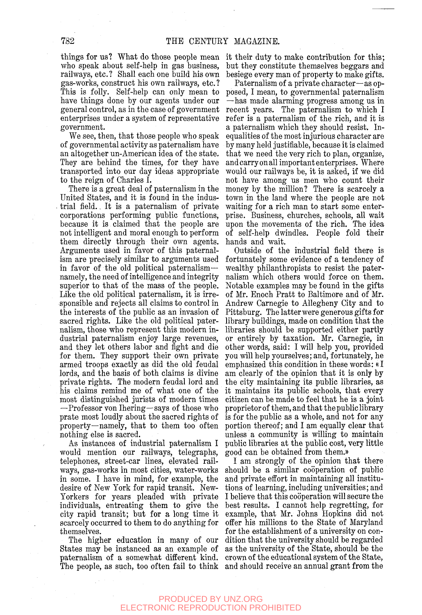things for us? What do those people mean who speak about self-help in gas business, railways, etc.? Shall each one build his own gas-works, construct his own railways, etc. ? This is folly. Self-help can only mean to have things done by our agents under our general control, as in the case of government enterprises under a system of representative government.

We see, then, that those people who speak of governmental activity as paternalism have an altogether un-American idea of the state. They are behind the times, for they have transported into our day ideas appropriate to the reign of Charles I.

There is a great deal of paternalism in the United States, and it is found in the industrial field.. It is a paternalism of private corporations performing public functions, because it is claimed that the people are not intelligent and moral enough to perform them directly through their own agents. Arguments used in favor of this paternalism are precisely similar to arguments used in favor of the old political paternalism namely, the need of intelligence and integrity superior to that of the mass of the people. Like the old political paternalism, it is irresponsible and rejects all claims to control in the interests of the public as an invasion of sacred rights. Like the old political paternalism, those who represent this modern industrial paternalism enjoy large revenues, and they let others labor and fight and die for them. They support their own private armed troops exactly as did the old feudal lords, and the basis of both claims is divine private rights. The modern feudal lord and his claims remind me of what one of the most distinguished jurists of modern times —Professor von Ihering—says of those who prate most loudly about the sacred rights of property—namely, that to them too often nothing else is sacred.

As instances of industrial paternalism I would mention our railways, telegraphs, telephones, street-car lines, elevated railways, gas-works in most cities, water-works in some. I have in mind, for example, the desire of New York for rapid transit. New-Yorkers for years pleaded with private individuals, entreating them to give the city rapid transit; but for a long time it scarcely occurred to them to do anything for themselves.

The higher education in many of our States may be instanced as an example of paternalism of a somewhat different kind. The people, as such, too often fail to think and should receive an annual grant from the

it their duty to make contribution for this; but they constitute themselves beggars and besiege every man of property to make gifts.

Paternalism of a private character—as opposed, I mean, to governmental paternalism —has made alarming progress among us in recent years. The paternalism to which I refer is a paternalism of the rich, and it is a paternalism which they should resist. Inequalities of the most injurious character are by many held justifiable, because it is claimed that we need the very rich to plan, organize, and carry on all important enterprises. Where would our railways be, it is asked, if we did not have among us men who count their money by the million? There is scarcely a town in the land where the people are not waiting for a rich man to start some enterprise. Business, churches, schools, all wait upon the movements of the rich. The idea of self-help dwindles. People fold their hands and wait.

Outside of the industrial field there is fortunately some evidence of a tendency of wealthy philanthropists to resist the paternalism which others would force on them. Notable examples may be found in the gifts of Mr. Enoch Pratt to Baltimore and of Mr. Andrew Carnegie to Allegheny City and to Pittsburg. The latter were generous gifts for library buildings, made on condition that the libraries should be supported either partly or entirely by taxation. Mr. Carnegie, in other words, said: I will help you, provided you will help yourselves; and, fortunately, he emphasized this condition in these words: «I am clearly of the opinion that it is only by the city maintaining its public libraries, as it maintains its public schools, that every citizen can be made to feel that he is a joint proprietor of them, and that the public library is for the public as a whole, and not for any portion thereof; and I am equally clear that unless a community is willing to maintain public libraries at the public cost, very little good can be obtained from them.))

I am strongly of the opinion that there should be a similar cooperation of public and private effort in maintaining all institutions of learning, including universities; and I believe that this cooperation will secure the best results. I cannot help regretting, for example, that Mr. Johns Hopkins did not offer his millions to the State of Maryland for the establishment of a university on condition that the university should be regarded as the university of the State, should be the crown of the educational system of the State,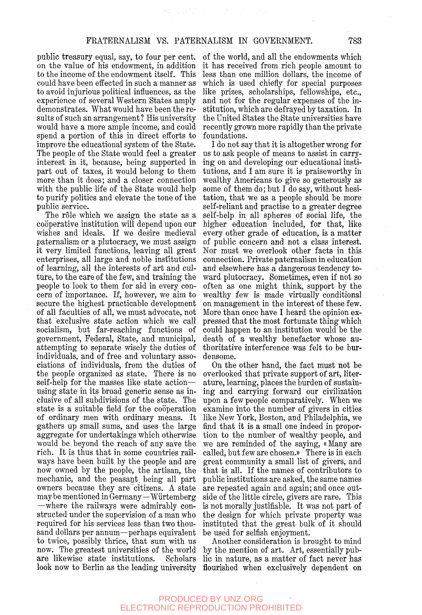public treasury equal, say, to four per cent, on the value of his endowment, in addition to the income of the endowment itself. This could have been effected in such a manner as to avoid injurious political influences, as the experience of several Western States amply demonstrates. What would have been the results of such an arrangement? His university would have a more ample income, and could spend a portion of this in direct efforts to improve the educational system of the State. The people of the State would feel a greater interest in it, because, being supported in part out of taxes, it would belong to them more than it does; and a closer connection with the public life of the State would help to purify politics and elevate the tone of the public service.

The rôle which we assign the state as a cooperative institution will depend upon our wishes and ideals.. If we desire medieval paternalism or a plutocracy, we must assign it very limited functions, leaving all great enterprises, all large and noble institutions of learning, all the interests of art and culture, to the care of the few, and training the people to look to them for aid in every concern of importance. If, however, we aim to secure the highest practicable development of all faculties of all, we must advocate, not that exclusive state action which we call socialism, but far-reaching functions of government, Federal, State, and municipal, attempting to separate wisely the duties of individuals, and of free and voluntary associations of individuals, from the duties of the people organized as state. There is no self-help for the masses like state action using state in its broad generic sense as inclusive of all subdivisions of the state. The state is a suitable field for the cooperation of ordinary men with ordinary means. It gathers up small sums, and uses the large aggregate for undertakings which otherwise would be beyond the reach of any save the rich. It is thus that in some countries railways have been built by the people and are now owned by the people, the artisan, the mechanic, and the peasant, being all part owners because they are'citizens. A state owners because they are cruizens. A state may be mentioned in dermany – wurtemberg  $-\text{where the railways were admirably con-}$ structed under the supervision of a man who required for his services less than two thousand dollars per annum—perhaps equivalent to twice, possibly thrice, that sum with us now. The greatest universities of the world<br>are likewise state institutions. Scholars are likewise state institutions. Scholars<br>look now to Berlin as the leading university

of the world, and all the endowments which it has received from rich people amount to less than one million dollars, the income of which is used chiefly for special purposes like prizes, scholarships, fellowships, etc., and not for the regular expenses of the institution, which are defrayed by taxation. In the United States the State universities have recently grown more rapidly than the private foundations.

I do not say that it is altogether wrong for us to ask people of means to assist in carrying on and developing our educational institutions, and I am sure it is praiseworthy in wealthy Americans to give so generously as some of them do; but I do say, without hesitation, that we as a people should be more self-reliant and practise to a greater degree self-help in all spheres of social life, the higher education included, for that, like every other grade of education, is a matter of public concern and not a class interest. Nor must we overlook other facts in this connection. Private paternalism in education and elsewhere has a dangerous tendency toward plutocracy. Sometimes, even if not so often as one might think, support by the wealthy few is made virtually conditional on management in the interest of these few. More than once have I heard the opinion expressed that the most fortunate thing which could happen to an institution would be the death of a wealthy benefactor whose authoritative interference was felt to be burdensome.

On the other hand, the fact must not be overlooked that private support of art, literature, learning, places the burden of sustaining and carrying forward our civilization upon a few people comparatively. When we examine into the number of givers in cities like New York, Boston, and Philadelphia, we find that it is a small one indeed in proportion to the number of wealthy people, and we are reminded of the saying, «Many are called, but few are chosen.» There is in each great community a small list of givers, and that is all. If the names of contributors to public institutions are asked, the same names are repeated again and again; and once outside of the little circle, givers are rare. This is not morally justifiable. It was not part of the design for which private property was instituted that the great bulk of it should be used for selfish enjoyment.

Another consideration is brought to mind by the mention of art. Art, essentially public in nature, as a matter of fact never has flourished when exclusively dependent on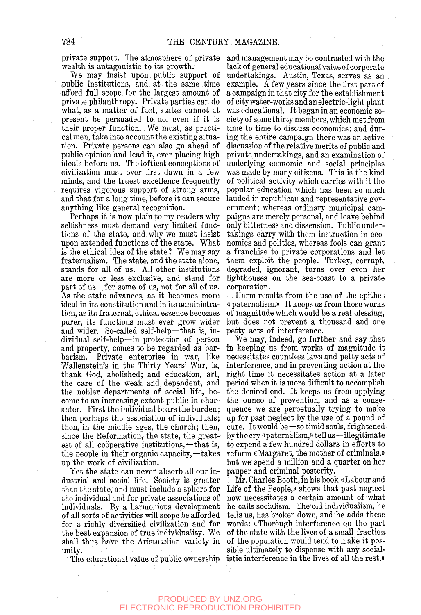private support. The atmosphere of private wealth is antagonistic to its growth.

We may insist upon public support of public institutions, and at the same time afford full scope for the largest amount of private philanthropy. Private parties can do what, as a matter of fact, states cannot at present be persuaded to do, even if it is their proper function. We must, as practical men, take into account the existing situation. Private persons can also go ahead of public opinion and lead it, ever placing high ideals before us. The loftiest conceptions of civilization must ever first dawn in a few minds, and the truest excellence frequently requires vigorous support of strong arms, and that for a long time, before it can secure anything like general recognition.

Perhaps it is now plain to my readers why selfishness must demand very limited functions of the state, and why we must insist upon extended functions of the state. What is the ethical idea of the state? We may say fraternalism. The state, and the state alone, stands for all of us. All other institutions are more or less exclusive, and stand for part of us—for some of us, not for all of us. As the state advances, as it becomes more ideal in its constitution and in its administration, as its fraternal, ethical essence becomes purer, its functions must ever grow wider and wider. So-called self-help—that is, individual self-help—in protection of person and property, comes to be regarded as barbarism. Private enterprise in war, like Wallenstein's in the Thirty Years' War, is, thank God, abolished; and education, art, the care of the weak and dependent, and the nobler departments of social life, become to an increasing extent public in character. First the individual bears the burden; then perhaps the association of individuals; then, in the middle ages, the church; then, since the Reformation, the state, the greatest of all cooperative institutions,—that is, the people in their organic capacity,—takes up the work of civilization.

Yet the state can never absorb all our industrial and social life. Society is greater than the state, and must include a sphere for the individual and for private associations of individuals. By a harmonious development of all sorts of activities will scope be afforded for a richly diversified civilization and for the best expansion of true individuality. We shall thus have the Aristotelian variety in unity.

The educational value of public ownership

and management may be contrasted with the lack of general educational value of corporate undertakings. Austin, Texas, serves as an example. A few years since the first part of a campaign in that city for the establishment of city water-works and an electric-light plant was educational. It began in an economic society of some thirty members, which met from time to time to discuss economics; and during the entire campaign there was an active discussion of the relative merits of public and private undertakings, and an examination of underlying economic and social principles was made by many citizens. This is the kind of political activity which carries with it the popular education which has been so much lauded in republican and representative government; whereas ordinary municipal campaigns are merely personal, and leave behind only bitterness and dissension. Public undertakings carry with them instruction in economics and politics, whereas fools can grant a franchise to private corporations and let them exploit the people. Turkey, corrupt, degraded, ignorant, turns over even her lighthouses on the sea-coast to a private corporation.

Harm results from the use of the epithet « paternalism.)) It keeps us from those works of magnitude which would be a real blessing, but does not prevent a thousand and one petty acts of interference.

We may, indeed, go further and say that in keeping us from works of magnitude it necessitates countless laws and petty acts of interference, and in preventing action at the right time it necessitates action at a later period when it is more difficult to accomplish the desired end. It keeps us from applying the ounce of prevention, and as a consequence we are perpetually trying to make up for past neglect by the use of a pound of cure. It would be—so-timid souls, frightened by the cry «paternalism,» tell us—illegitimate to expend a few hundred dollars in efforts to reform «Margaret, the mother of criminals,» but we spend a million and a quarter on her pauper and criminal posterity.

Mr. Charles Booth, in his book «Labour and Life of the People,<sup>®</sup> shows that past neglect now necessitates a certain amount of what he calls socialism. The'old individualism, he tells us, has broken down, and he adds these words: «Thorough interference on the part of the state with the lives of a small fraction, of the population would tend to make it possible ultimately to dispense with any socialistic interference in the lives of all the rest.))

PRODUCED BY UNZ.ORG ELECTRONIC REPRODUCTION PROHIBITED